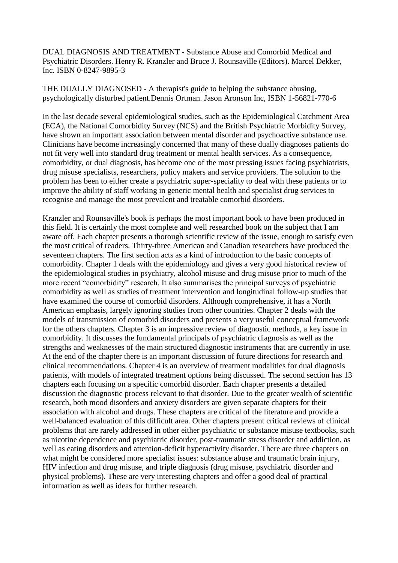DUAL DIAGNOSIS AND TREATMENT - Substance Abuse and Comorbid Medical and Psychiatric Disorders. Henry R. Kranzler and Bruce J. Rounsaville (Editors). Marcel Dekker, Inc. ISBN 0-8247-9895-3

THE DUALLY DIAGNOSED - A therapist's guide to helping the substance abusing, psychologically disturbed patient.Dennis Ortman. Jason Aronson Inc, ISBN 1-56821-770-6

In the last decade several epidemiological studies, such as the Epidemiological Catchment Area (ECA), the National Comorbidity Survey (NCS) and the British Psychiatric Morbidity Survey, have shown an important association between mental disorder and psychoactive substance use. Clinicians have become increasingly concerned that many of these dually diagnoses patients do not fit very well into standard drug treatment or mental health services. As a consequence, comorbidity, or dual diagnosis, has become one of the most pressing issues facing psychiatrists, drug misuse specialists, researchers, policy makers and service providers. The solution to the problem has been to either create a psychiatric super-speciality to deal with these patients or to improve the ability of staff working in generic mental health and specialist drug services to recognise and manage the most prevalent and treatable comorbid disorders.

Kranzler and Rounsaville's book is perhaps the most important book to have been produced in this field. It is certainly the most complete and well researched book on the subject that I am aware off. Each chapter presents a thorough scientific review of the issue, enough to satisfy even the most critical of readers. Thirty-three American and Canadian researchers have produced the seventeen chapters. The first section acts as a kind of introduction to the basic concepts of comorbidity. Chapter 1 deals with the epidemiology and gives a very good historical review of the epidemiological studies in psychiatry, alcohol misuse and drug misuse prior to much of the more recent "comorbidity" research. It also summarises the principal surveys of psychiatric comorbidity as well as studies of treatment intervention and longitudinal follow-up studies that have examined the course of comorbid disorders. Although comprehensive, it has a North American emphasis, largely ignoring studies from other countries. Chapter 2 deals with the models of transmission of comorbid disorders and presents a very useful conceptual framework for the others chapters. Chapter 3 is an impressive review of diagnostic methods, a key issue in comorbidity. It discusses the fundamental principals of psychiatric diagnosis as well as the strengths and weaknesses of the main structured diagnostic instruments that are currently in use. At the end of the chapter there is an important discussion of future directions for research and clinical recommendations. Chapter 4 is an overview of treatment modalities for dual diagnosis patients, with models of integrated treatment options being discussed. The second section has 13 chapters each focusing on a specific comorbid disorder. Each chapter presents a detailed discussion the diagnostic process relevant to that disorder. Due to the greater wealth of scientific research, both mood disorders and anxiety disorders are given separate chapters for their association with alcohol and drugs. These chapters are critical of the literature and provide a well-balanced evaluation of this difficult area. Other chapters present critical reviews of clinical problems that are rarely addressed in other either psychiatric or substance misuse textbooks, such as nicotine dependence and psychiatric disorder, post-traumatic stress disorder and addiction, as well as eating disorders and attention-deficit hyperactivity disorder. There are three chapters on what might be considered more specialist issues: substance abuse and traumatic brain injury, HIV infection and drug misuse, and triple diagnosis (drug misuse, psychiatric disorder and physical problems). These are very interesting chapters and offer a good deal of practical information as well as ideas for further research.